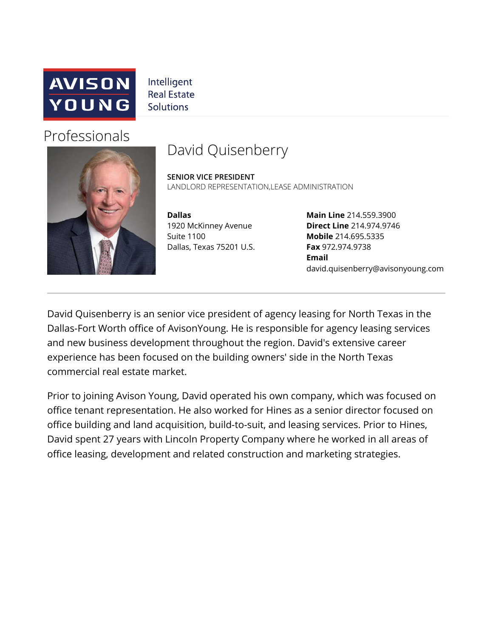

Intelligent **Real Estate Solutions** 

# Professionals



# David Quisenberry

**SENIOR VICE PRESIDENT** LANDLORD REPRESENTATION, LEASE ADMINISTRATION

**Dallas**  1920 McKinney Avenue Suite 1100 Dallas, Texas 75201 U.S.

**Main Line** 214.559.3900 **Direct Line** 214.974.9746 **Mobile** 214.695.5335 **Fax** 972.974.9738 **Email** david.quisenberry@avisonyoung.com

David Quisenberry is an senior vice president of agency leasing for North Texas in the Dallas-Fort Worth office of AvisonYoung. He is responsible for agency leasing services and new business development throughout the region. David's extensive career experience has been focused on the building owners' side in the North Texas commercial real estate market.

Prior to joining Avison Young, David operated his own company, which was focused on office tenant representation. He also worked for Hines as a senior director focused on office building and land acquisition, build-to-suit, and leasing services. Prior to Hines, David spent 27 years with Lincoln Property Company where he worked in all areas of office leasing, development and related construction and marketing strategies.